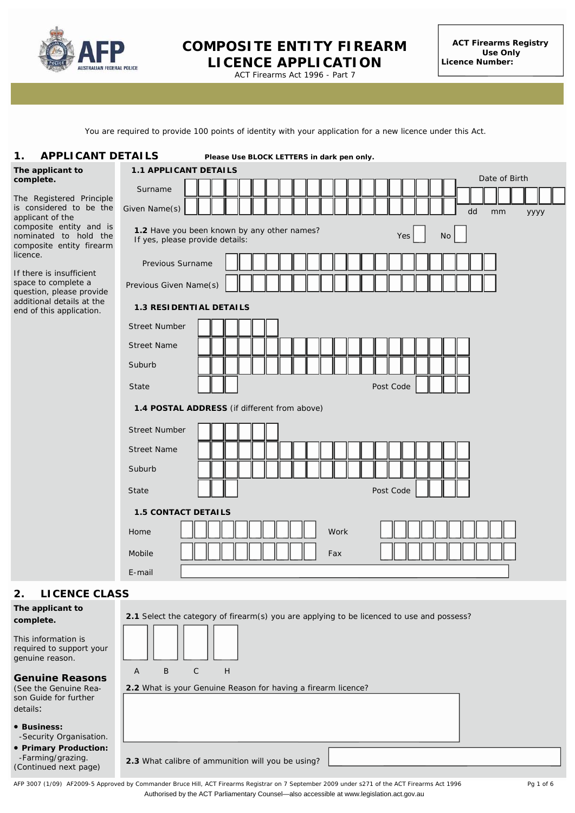

Australian Capital Territory

## **COMPOSITE ENTITY FIREARM LICENCE APPLICATION**

**ACT Firearms Registry Use Only Licence Number:**

ACT Firearms Act 1996 - Part 7

You are required to provide 100 points of identity with your application for a new licence under this Act.

#### **APPLICANT DETAILS 1. APPLICANT DETAILS** *Please Use BLOCK LETTERS in dark pen only.*

**The** app

| The applicant to<br>complete.                                                                                                                                                                                                                      | <b>1.1 APPLICANT DETAILS</b><br>Date of Birth                                                      |           |                  |  |  |  |  |
|----------------------------------------------------------------------------------------------------------------------------------------------------------------------------------------------------------------------------------------------------|----------------------------------------------------------------------------------------------------|-----------|------------------|--|--|--|--|
|                                                                                                                                                                                                                                                    | Surname                                                                                            |           |                  |  |  |  |  |
| The Registered Principle<br>is considered to be the<br>applicant of the<br>composite entity and is<br>nominated to hold the<br>composite entity firearm<br>licence.<br>If there is insufficient<br>space to complete a<br>question, please provide | Given Name(s)                                                                                      |           | dd<br>mm<br>УУУУ |  |  |  |  |
|                                                                                                                                                                                                                                                    | 1.2 Have you been known by any other names?<br>If yes, please provide details:<br>Previous Surname | No<br>Yes |                  |  |  |  |  |
|                                                                                                                                                                                                                                                    | Previous Given Name(s)                                                                             |           |                  |  |  |  |  |
| additional details at the<br>end of this application.                                                                                                                                                                                              | <b>1.3 RESIDENTIAL DETAILS</b>                                                                     |           |                  |  |  |  |  |
|                                                                                                                                                                                                                                                    | <b>Street Number</b>                                                                               |           |                  |  |  |  |  |
|                                                                                                                                                                                                                                                    | <b>Street Name</b>                                                                                 |           |                  |  |  |  |  |
|                                                                                                                                                                                                                                                    | Suburb                                                                                             |           |                  |  |  |  |  |
|                                                                                                                                                                                                                                                    | State                                                                                              | Post Code |                  |  |  |  |  |
|                                                                                                                                                                                                                                                    | 1.4 POSTAL ADDRESS (if different from above)                                                       |           |                  |  |  |  |  |
|                                                                                                                                                                                                                                                    | <b>Street Number</b>                                                                               |           |                  |  |  |  |  |
|                                                                                                                                                                                                                                                    | <b>Street Name</b>                                                                                 |           |                  |  |  |  |  |
|                                                                                                                                                                                                                                                    | Suburb                                                                                             |           |                  |  |  |  |  |
|                                                                                                                                                                                                                                                    | <b>State</b>                                                                                       | Post Code |                  |  |  |  |  |
|                                                                                                                                                                                                                                                    | <b>1.5 CONTACT DETAILS</b>                                                                         |           |                  |  |  |  |  |
|                                                                                                                                                                                                                                                    | Home                                                                                               | Work      |                  |  |  |  |  |
|                                                                                                                                                                                                                                                    | Mobile                                                                                             | Fax       |                  |  |  |  |  |
|                                                                                                                                                                                                                                                    | E-mail                                                                                             |           |                  |  |  |  |  |
| <b>LICENCE CLASS</b><br>2.                                                                                                                                                                                                                         |                                                                                                    |           |                  |  |  |  |  |
| The applicant to<br>complete.<br>This information is<br>required to support your<br>genuine reason.                                                                                                                                                | 2.1 Select the category of firearm(s) you are applying to be licenced to use and possess?          |           |                  |  |  |  |  |

#### **Genuine Reasons**  (See the Genuine Reason Guide for further details:

- **Business:** -Security Organisation.
- **Primary Production:** -Farming/grazing. (Continued next page)

**2.3** What calibre of ammunition will you be using?

A B C H

**2.2** What is your Genuine Reason for having a firearm licence?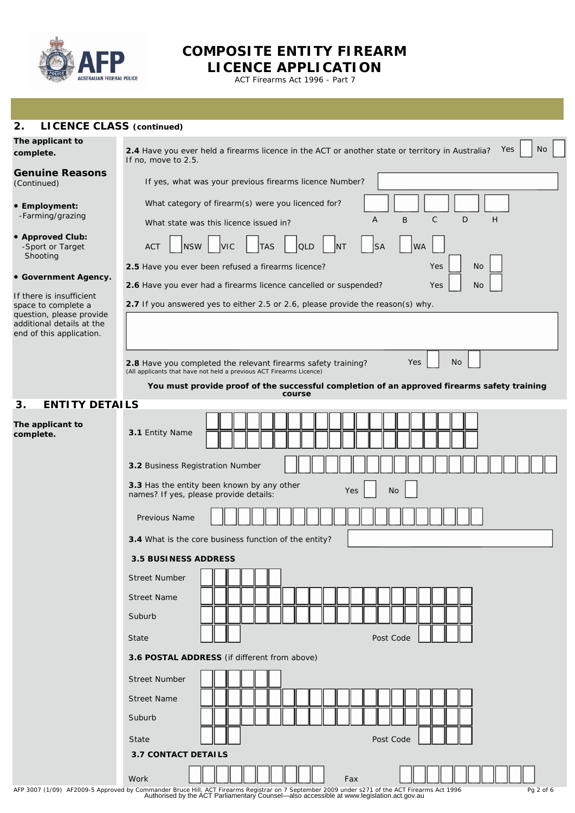

# **COMPOSITE ENTITY FIREARM**

**LICENCE APPLICATION** ACT Firearms Act 1996 - Part 7

| 2.<br><b>LICENCE CLASS (continued)</b>                                                            |                                                                                                                                      |  |  |  |  |  |
|---------------------------------------------------------------------------------------------------|--------------------------------------------------------------------------------------------------------------------------------------|--|--|--|--|--|
| The applicant to<br>complete.                                                                     | Yes<br>No<br>2.4 Have you ever held a firearms licence in the ACT or another state or territory in Australia?<br>If no, move to 2.5. |  |  |  |  |  |
| <b>Genuine Reasons</b><br>(Continued)                                                             | If yes, what was your previous firearms licence Number?                                                                              |  |  |  |  |  |
| • Employment:<br>-Farming/grazing                                                                 | What category of firearm(s) were you licenced for?<br>C<br>D<br>H<br>Α<br>B<br>What state was this licence issued in?                |  |  |  |  |  |
| • Approved Club:<br>-Sport or Target<br>Shooting                                                  | <b>ACT</b><br><b>NSW</b><br><b>VIC</b><br><b>TAS</b><br><b>SA</b><br><b>WA</b><br><b>QLD</b><br>INT                                  |  |  |  |  |  |
| • Government Agency.                                                                              | <b>No</b><br>Yes<br>2.5 Have you ever been refused a firearms licence?                                                               |  |  |  |  |  |
|                                                                                                   | 2.6 Have you ever had a firearms licence cancelled or suspended?<br>Yes<br>No                                                        |  |  |  |  |  |
| If there is insufficient<br>space to complete a                                                   | 2.7 If you answered yes to either 2.5 or 2.6, please provide the reason(s) why.                                                      |  |  |  |  |  |
| question, please provide<br>additional details at the<br>end of this application.                 |                                                                                                                                      |  |  |  |  |  |
|                                                                                                   | <b>No</b><br>Yes<br><b>2.8</b> Have you completed the relevant firearms safety training?                                             |  |  |  |  |  |
|                                                                                                   | (All applicants that have not held a previous ACT Firearms Licence)                                                                  |  |  |  |  |  |
|                                                                                                   | You must provide proof of the successful completion of an approved firearms safety training<br>course                                |  |  |  |  |  |
| <b>ENTITY DETAILS</b><br>З.                                                                       |                                                                                                                                      |  |  |  |  |  |
| The applicant to<br>complete.                                                                     | 3.1 Entity Name                                                                                                                      |  |  |  |  |  |
|                                                                                                   | 3.2 Business Registration Number                                                                                                     |  |  |  |  |  |
| 3.3 Has the entity been known by any other<br>Yes<br>No<br>names? If yes, please provide details: |                                                                                                                                      |  |  |  |  |  |
|                                                                                                   | Previous Name                                                                                                                        |  |  |  |  |  |
| 3.4 What is the core business function of the entity?                                             |                                                                                                                                      |  |  |  |  |  |
|                                                                                                   | <b>3.5 BUSINESS ADDRESS</b>                                                                                                          |  |  |  |  |  |
|                                                                                                   | <b>Street Number</b>                                                                                                                 |  |  |  |  |  |
|                                                                                                   | <b>Street Name</b>                                                                                                                   |  |  |  |  |  |
|                                                                                                   | Suburb                                                                                                                               |  |  |  |  |  |
|                                                                                                   | Post Code<br>State                                                                                                                   |  |  |  |  |  |
|                                                                                                   | 3.6 POSTAL ADDRESS (if different from above)                                                                                         |  |  |  |  |  |
|                                                                                                   | <b>Street Number</b>                                                                                                                 |  |  |  |  |  |
|                                                                                                   | <b>Street Name</b>                                                                                                                   |  |  |  |  |  |
|                                                                                                   | Suburb                                                                                                                               |  |  |  |  |  |
|                                                                                                   | Post Code<br>State                                                                                                                   |  |  |  |  |  |
|                                                                                                   | <b>3.7 CONTACT DETAILS</b>                                                                                                           |  |  |  |  |  |

AFP 3007 (1/09) AF2009-5 Approved by Commander Bruce Hill, ACT Firearms Registrar on 7 September 2009 under s271 of the ACT *Firearms Act 1996*<br>Authorised by the ACT Parliamentary Counsel—also accessible at www.legislation

Work | | | | | | | | | | | | | Fax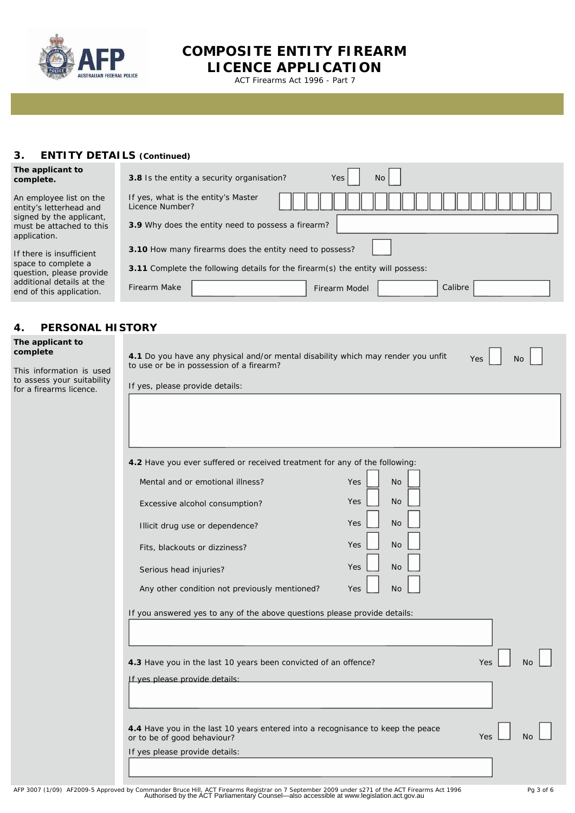

**COMPOSITE ENTITY FIREARM LICENCE APPLICATION**

ACT Firearms Act 1996 - Part 7

#### **3. ENTITY DETAILS (Continued)**

| The applicant to<br>complete.                                                                                              | <b>No</b><br>3.8 Is the entity a security organisation?<br>Yes                         |  |  |  |  |
|----------------------------------------------------------------------------------------------------------------------------|----------------------------------------------------------------------------------------|--|--|--|--|
| An employee list on the<br>entity's letterhead and<br>signed by the applicant,<br>must be attached to this<br>application. | If yes, what is the entity's Master<br>Licence Number?                                 |  |  |  |  |
|                                                                                                                            | 3.9 Why does the entity need to possess a firearm?                                     |  |  |  |  |
| If there is insufficient                                                                                                   | 3.10 How many firearms does the entity need to possess?                                |  |  |  |  |
| space to complete a<br>question, please provide                                                                            | <b>3.11</b> Complete the following details for the firearm(s) the entity will possess: |  |  |  |  |
| additional details at the<br>end of this application.                                                                      | <b>Firearm Make</b><br>Calibre<br>Firearm Model                                        |  |  |  |  |

### **4. PERSONAL**

#### **The applicant to complete**

| This information is used   |  |  |  |
|----------------------------|--|--|--|
| to assess your suitability |  |  |  |
| for a firearms licence.    |  |  |  |

| 4.1 Do you have any physical and/or mental disability which may render you unfit<br>to use or be in possession of a firearm? |                         | Yes<br><b>No</b>      |
|------------------------------------------------------------------------------------------------------------------------------|-------------------------|-----------------------|
| If yes, please provide details:                                                                                              |                         |                       |
|                                                                                                                              |                         |                       |
|                                                                                                                              |                         |                       |
|                                                                                                                              |                         |                       |
| 4.2 Have you ever suffered or received treatment for any of the following:                                                   |                         |                       |
| Mental and or emotional illness?                                                                                             | Yes<br><b>No</b>        |                       |
| Excessive alcohol consumption?                                                                                               | <b>No</b><br><b>Yes</b> |                       |
| Illicit drug use or dependence?                                                                                              | <b>No</b><br><b>Yes</b> |                       |
| Fits, blackouts or dizziness?                                                                                                | <b>No</b><br>Yes        |                       |
| Serious head injuries?                                                                                                       | <b>No</b><br>Yes        |                       |
| Any other condition not previously mentioned?                                                                                | <b>No</b><br>Yes        |                       |
|                                                                                                                              |                         |                       |
| If you answered yes to any of the above questions please provide details:                                                    |                         |                       |
|                                                                                                                              |                         |                       |
| 4.3 Have you in the last 10 years been convicted of an offence?                                                              |                         | Yes<br>N <sub>C</sub> |
| If yes please provide details:                                                                                               |                         |                       |
|                                                                                                                              |                         |                       |
|                                                                                                                              |                         |                       |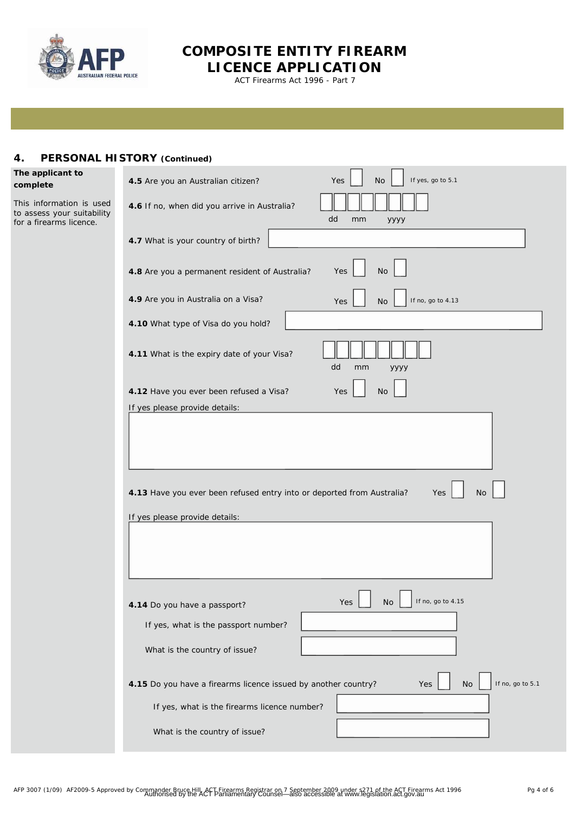

## **COMPOSITE ENTITY FIREARM LICENCE APPLICATION**

ACT Firearms Act 1996 - Part 7

### **4. PERSONAL HISTORY (Continued)**

#### **The applicant to complete**

This information is used to assess your suitability for a firearms licence.

| If yes, go to 5.1<br><b>No</b><br>4.5 Are you an Australian citizen?<br>Yes                                                  |  |
|------------------------------------------------------------------------------------------------------------------------------|--|
| 4.6 If no, when did you arrive in Australia?<br>dd<br>mm<br>уууу                                                             |  |
| 4.7 What is your country of birth?                                                                                           |  |
| <b>No</b><br>4.8 Are you a permanent resident of Australia?<br>Yes                                                           |  |
| 4.9 Are you in Australia on a Visa?<br>If no, go to 4.13<br>Yes<br>No                                                        |  |
| 4.10 What type of Visa do you hold?                                                                                          |  |
| 4.11 What is the expiry date of your Visa?<br>dd<br>mm<br>уууу                                                               |  |
| 4.12 Have you ever been refused a Visa?<br><b>No</b><br>Yes                                                                  |  |
| If yes please provide details:                                                                                               |  |
| 4.13 Have you ever been refused entry into or deported from Australia?<br><b>No</b><br>Yes<br>If yes please provide details: |  |
| Yes $\lfloor$<br>No L<br>If no, go to 4.15<br>4.14 Do you have a passport?                                                   |  |
| If yes, what is the passport number?                                                                                         |  |
| What is the country of issue?                                                                                                |  |
| If no, go to 5.1<br>4.15 Do you have a firearms licence issued by another country?<br>No<br>Yes                              |  |
| If yes, what is the firearms licence number?                                                                                 |  |
| What is the country of issue?                                                                                                |  |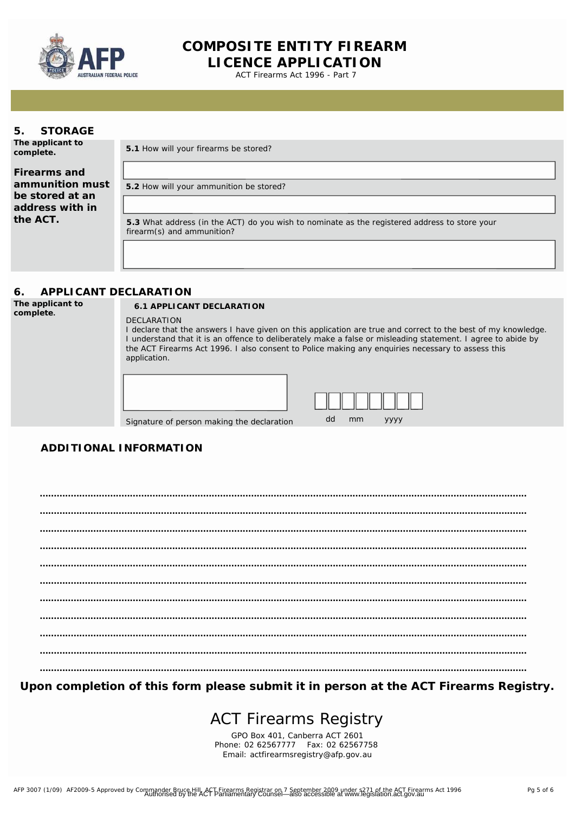

 $A_{\rm{max}}$  and  $A_{\rm{max}}$  are  $A_{\rm{max}}$ 

**COMPOSITE ENTITY FIREARM LICENCE APPLICATION**

ACT Firearms Act 1996 - Part 7

#### **5. STORAGE**

**ADU The applicant to complete.**

**5.1** How will your firearms be stored?

**Firearms and**  $\qquad$  **identity with your application for application for application for application for application for application for application for application for application for application for application for applica 1. A** address with in  $\blacksquare$ the ACT.  $\overline{\phantom{a}}$ **ammunition must be stored at an** 

**5.2** How will your ammunition be stored?

**5.3** What address (in the ACT) do you wish to nominate as the registered address to store your firearm(s) and ammunition?

#### **6. APPLICANT DECLARATION**

**The applicant to** 

#### **complete. 6.1 APPLICANT DECLARATION**

DECLARATION I declare that the answers I have given on this application are true and correct to the best of my knowledge. I understand that it is an offence to deliberately make a false or misleading statement. I agree to abide by the ACT Firearms Act 1996. I also consent to Police making any enquiries necessary to assess this application.

| Signature of person making the declaration | dd | mm | <b>YYYY</b> |  |
|--------------------------------------------|----|----|-------------|--|

| ,,,, | mm | $\frac{1}{2}$ |  |  |
|------|----|---------------|--|--|

## **ADDITIONAL INFORMATION**

Family Name **............................................................................................................................................................................. ............................................................................................................................................................................. ............................................................................................................................................................................. ............................................................................................................................................................................. ............................................................................................................................................................................. ............................................................................................................................................................................. ............................................................................................................................................................................. ............................................................................................................................................................................. ............................................................................................................................................................................. ............................................................................................................................................................................. .............................................................................................................................................................................**

**Upon completion of this form please submit it in person at the ACT Firearms Registry.**

## ACT Firearms Registry

GPO Box 401, Canberra ACT 2601 Phone: 02 62567777 Fax: 02 62567758 Email: [actfirearmsregistry@afp.gov.au](mailto:actfirearmsregistry@afp.gov.au)